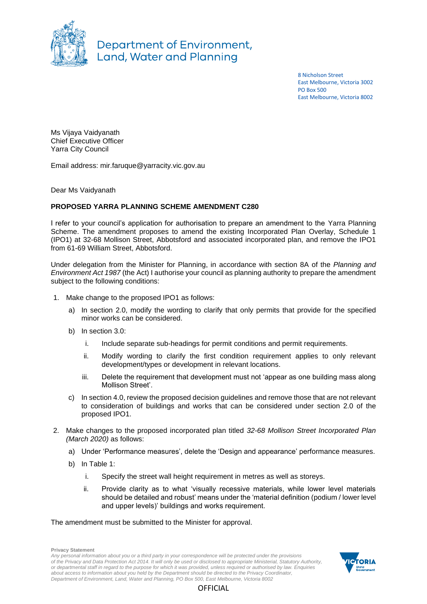

Department of Environment, **Land, Water and Planning** 

> 8 Nicholson Street East Melbourne, Victoria 3002 PO Box 500 East Melbourne, Victoria 8002

Ms Vijaya Vaidyanath Chief Executive Officer Yarra City Council

Email address: mir.faruque@yarracity.vic.gov.au

Dear Ms Vaidyanath

## **PROPOSED YARRA PLANNING SCHEME AMENDMENT C280**

I refer to your council's application for authorisation to prepare an amendment to the Yarra Planning Scheme. The amendment proposes to amend the existing Incorporated Plan Overlay, Schedule 1 (IPO1) at 32-68 Mollison Street, Abbotsford and associated incorporated plan, and remove the IPO1 from 61-69 William Street, Abbotsford.

Under delegation from the Minister for Planning, in accordance with section 8A of the *Planning and Environment Act 1987* (the Act) I authorise your council as planning authority to prepare the amendment subject to the following conditions:

- 1. Make change to the proposed IPO1 as follows:
	- a) In section 2.0, modify the wording to clarify that only permits that provide for the specified minor works can be considered.
	- b) In section 3.0:
		- i. Include separate sub-headings for permit conditions and permit requirements.
		- ii. Modify wording to clarify the first condition requirement applies to only relevant development/types or development in relevant locations.
		- iii. Delete the requirement that development must not 'appear as one building mass along Mollison Street'.
	- c) In section 4.0, review the proposed decision guidelines and remove those that are not relevant to consideration of buildings and works that can be considered under section 2.0 of the proposed IPO1.
- 2. Make changes to the proposed incorporated plan titled *32-68 Mollison Street Incorporated Plan (March 2020)* as follows:
	- a) Under 'Performance measures', delete the 'Design and appearance' performance measures.
	- b) In Table 1:
		- i. Specify the street wall height requirement in metres as well as storeys.
		- ii. Provide clarity as to what 'visually recessive materials, while lower level materials should be detailed and robust' means under the 'material definition (podium / lower level and upper levels)' buildings and works requirement.

The amendment must be submitted to the Minister for approval.

**Privacy Statement** *Any personal information about you or a third party in your correspondence will be protected under the provisions of the Privacy and Data Protection Act 2014. It will only be used or disclosed to appropriate Ministerial, Statutory Authority, or departmental staff in regard to the purpose for which it was provided, unless required or authorised by law. Enquiries about access to information about you held by the Department should be directed to the Privacy Coordinator, Department of Environment, Land, Water and Planning, PO Box 500, East Melbourne, Victoria 8002*



**OFFICIAL**